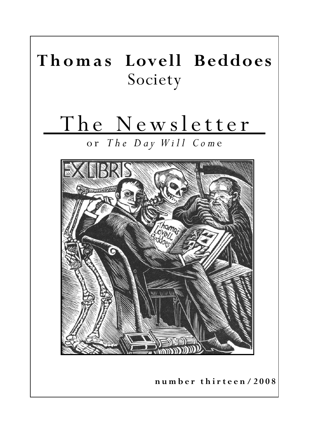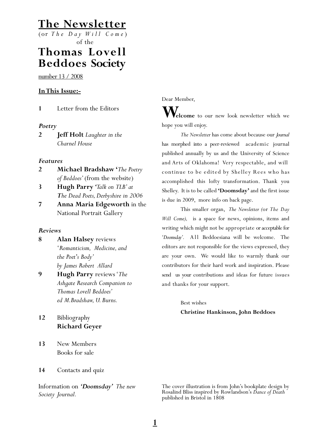# The Newsletter

 $\overline{(or The Day Will Come)}$ of the

# Thomas Lovell Beddoes Society

number 13 / 2008

#### In This Issue:-

1 Letter from the Editors

#### Poetry

2 **Jeff Holt** Laughter in the Charnel House

#### Features

- 2 Michael Bradshaw 'The Poetry of Beddoes'(from the website)
- 3 Hugh Parry 'Talk on TLB'at The Dead Poets, Derbyshire in 2006
- 7 Anna Maria Edgeworth in the National Portrait Gallery

#### Reviews

- 8 Alan Halsey reviews 'Romanticism, Medicine, and the Poet's Body' by James Robert Allard
- 9 Hugh Parry reviews 'The Ashgate Research Companion to Thomas Lovell Beddoes' ed M.Bradshaw, U. Burns.

#### 12 Bibliography Richard Geyer

13 New Members Books for sale

#### 14 Contacts and quiz

Information on 'Doomsday' The new Society Journal.

Dear Member,

Welcome to our new look newsletter which we hope you will enjoy.

The Newsletter has come about because our Journal has morphed into a peer-reviewed academic journal published annually by us and the University of Science and Arts of Oklahoma! Very respectable, and will continue to be edited by Shelley Rees who has accomplished this lofty transformation. Thank you Shelley. It is to be called 'Doomsday' and the first issue is due in 2009, more info on back page.

This smaller organ, The Newsletter (or The Day Will Come), is a space for news, opinions, items and writing which might not be appropriate or acceptable for 'Doomsday'. All Beddoesiana will be welcome. The editors are not responsible for the views expressed, they are your own. We would like to warmly thank our contributors for their hard work and inspiration. Please send us your contributions and ideas for future issues and thanks for your support.

> Best wishes Christine Hankinson, John Beddoes

The cover illustration is from John's bookplate design by Rosalind Bliss inspired by Rowlandson's Dance of Death published in Bristol in 1808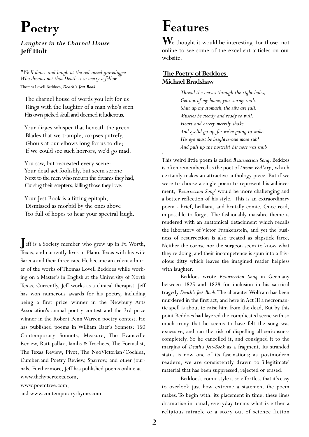# Poetry

#### Laughter in the Charnel House Jeff Holt

"We'll dance and laugh at the red-nosed gravedigger Who dreams not that Death is so merry a fellow. Thomas Lovell Beddoes, Death's Jest Book

The charnel house of words you left for us Rings with the laughter of a man who's seen His own picked skull and deemed it ludicrous.

Your dirges whisper that beneath the green Blades that we trample, corpses putrefy. Ghouls at our elbows long for us to die; If we could see such horrors, we'd go mad.

You saw, but recreated every scene: Your dead act foolishly, but seem serene Next to the men who mourn the dreams they had, Cursing their scepters, killing those they love.

Your Jest Book is a fitting epitaph, Dismissed as morbid by the ones above Too full of hopes to hear your spectral laugh.

eff is a Society member who grew up in Ft. Worth, Texas, and currently lives in Plano, Texas with his wife Sarena and their three cats. He became an ardent admirer of the works of Thomas Lovell Beddoes while working on a Master's in English at the University of North Texas. Currently, Jeff works as a clinical therapist. Jeff has won numerous awards for his poetry, including being a first prize winner in the Newbury Arts Association's annual poetry contest and the 3rd prize winner in the Robert Penn Warren poetry contest. He has published poems in William Baer's Sonnets: 150 Contemporary Sonnets, Measure, The Evansville Review, Rattapallax, Iambs & Trochees, The Formalist, The Texas Review, Pivot, The NeoVictorian/Cochlea, Cumberland Poetry Review, Sparrow, and other journals. Furthermore, Jeff has published poems online at www.thehypertexts.com,

www.poemtree.com,

and www.contemporaryrhyme.com.

# Features

 $\mathbf{W}_{\text{e}}$  thought it would be interesting for those not online to see some of the excellent articles on our website.

## The Poetry of Beddoes Michael Bradshaw

.

Thread the nerves through the right holes, Get out of my bones, you wormy souls. Shut up my stomach, the ribs are full: Muscles be steady and ready to pull. Heart and artery merrily shake And eyelid go up, for we're going to wake.- His eye must be brighter-one more rub! And pull up the nostrils! his nose was snub

This weird little poem is called Resurrection Song. Beddoes is often remembered as the poet of Dream Pedlary, which certainly makes an attractive anthology piece. But if we were to choose a single poem to represent his achievement, 'Resurrection Song' would be more challenging and a better reflection of his style. This is an extraordinary poem - brief, brilliant, and brutally comic. Once read, impossible to forget. The fashionably macabre theme is rendered with an anatomical detachment which recalls the laboratory of Victor Frankenstein, and yet the business of resurrection is also treated as slapstick farce. Neither the corpse nor the surgeon seem to know what they're doing, and their incompetence is spun into a frivolous ditty which leaves the imagined reader helpless with laughter.

Beddoes wrote Resurrection Song in Germany between 1825 and 1828 for inclusion in his satirical tragedy Death's Jest-Book.The character Wolfram has been murdered in the first act, and here in Act III a necromantic spell is about to raise him from the dead. But by this point Beddoes had layered the complicated scene with so much irony that he seems to have felt the song was excessive, and ran the risk of dispelling all seriousness completely. So he cancelled it, and consigned it to the margins of Death's Jest-Book as a fragment. Its stranded status is now one of its fascinations; as postmodern readers, we are consistently drawn to 'illegitimate' material that has been suppressed, rejected or erased.

Beddoes's comic style is so effortless that it's easy to overlook just how extreme a statement the poem makes. To begin with, its placement in time: these lines dramatise in banal, everyday terms what is either a religious miracle or a story out of science fiction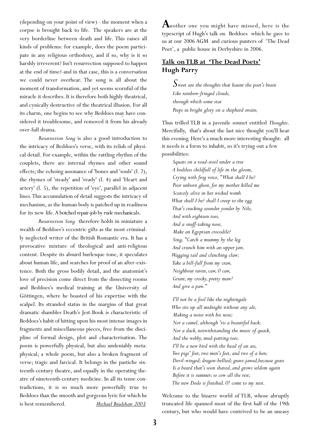(depending on your point of view) - the moment when a corpse is brought back to life. The speakers are at the very borderline between death and life. This raises all kinds of problems: for example, does the poem participate in any religious orthodoxy, and if so, why is it so harshly irreverent? Isn't resurrection supposed to happen at the end of time?-and in that case, this is a conversation we could never overhear. The song is all about the moment of transformation, and yet seems scornful of the miracle it describes. It is therefore both highly theatrical, and cynically destructive of the theatrical illusion. For all its charm, one begins to see why Beddoes may have considered it troublesome, and removed it from his already over-full drama.

Resurrection Song is also a good introduction to the intricacy of Beddoes's verse, with its relish of physical detail. For example, within the rattling rhythm of the couplets, there are internal rhymes and other sound effects; the echoing assonance of 'bones and 'souls' (l. 2), the rhymes of 'steady' and 'ready' (l. 4) and 'Heart and artery' (l. 5), the repetition of 'eye', parallel in adjacent lines.This accumulation of detail suggests the intricacy of mechanism, as the human body is patched up in readiness for its new life.A botched repair-job by rude mechanicals.

Resurrection Song therefore holds in miniature a wealth of Beddoes's eccentric gifts as the most criminally neglected writer of the British Romantic era. It has a provocative mixture of theological and anti-religious content. Despite its absurd burlesque tone, it speculates about human life, and searches for proof of an after-existence. Both the gross bodily detail, and the anatomist's love of precision come direct from the dissecting rooms and Beddoes's medical training at the University of Göttingen, where he boasted of his expertise with the scalpel. Its stranded status in the margins of that great dramatic shambles Death's Jest-Book is characteristic of Beddoes's habit of hitting upon his most intense images in fragments and miscellaneous pieces, free from the discipline of formal design, plot and characterisation. The poem is powerfully physical, but also undeniably metaphysical; a whole poem, but also a broken fragment of verse; tragic and farcical. It belongs in the pastiche sixteenth-century theatre, and equally in the operating theatre of nineteenth-century medicine. In all its tense contradictions, it is so much more powerfully true to Beddoes than the smooth and gorgeous lyric for which he is best remembered. Michael Bradshaw 2003

Another one you might have missed, here is the typescript of Hugh's talk on Beddoes which he gave to us at our 2006 AGM and curious punters of 'The Dead Poet', a public house in Derbyshire in 2006.

#### Talk on TLB at 'The Dead Poets' Hugh Parry

 $S<sub>weet</sub>$  are the thoughts that haunt the poet's brain Like rainbow-fringed clouds, through which some star Peeps in bright glory on a shepherd swain;

Thus trilled TLB in a juvenile sonnet entitled Thoughts. Mercifully, that's about the last nice thought you'll hear this evening. Here's a much more interesting thought: all it needs is a form to inhabit, so it's trying out a few possibilities:

Squats on a toad-stool under a tree A bodiless childfull of life in the gloom, Crying with frog voice, "What shall I be? Poor unborn ghost, for my mother killed me Scarcely alive in her wicked womb. What shall I be? shall I creep to the egg That's cracking asunder yonder by Nile, And with eighteen toes, And a snuff-taking nose, Make an Egyptian crocodile? Sing, "Catch a mummy by the leg And crunch him with an upper jaw, Wagging tail and clenching claw; Take a bill-full from my craw, Neighbour raven, caw, O caw, Grunt, my crocky, pretty maw! And give a paw."

I'll not be a fool like the nightingale Who sits up all midnight without any ale, Making a noise with his nose; Nor a camel, although 'tis a beautiful back; Nor a duck, notwithstanding the music of quack, And the webby, mud-patting toes. I'll be a new bird with the head of an ass, Two pigs' feet, two men's feet, and two of a hen; Devil-winged;dragon-bellied;grave-jawed,because grass Is a beard that's soon shaved, and grows seldom again Before it is summer; so cow all the rest; The new Dodo is finished. 0! come to my nest.

Welcome to the bizarre world of TLB, whose abruptly truncated life spanned most of the first half of the 19th century, but who would have contrived to be an uneasy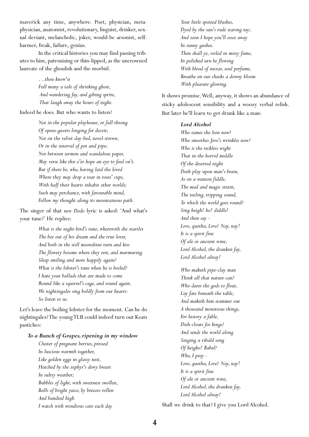maverick any time, anywhere. Poet, physician, metaphysician, anatomist, revolutionary, linguist, drinker, sexual deviant, melancholic, joker, would-be arsonist, selfharmer, freak, failure, genius.

In the critical histories you may find passing tributes to him, patronising or thin-lipped, as the uncrowned laureate of the ghoulish and the morbid.

> . ..thou know'st Full many a tale of shrieking ghost, And wandering fay, and gibing sprite, That laugh away the hours of night.

Indeed he does. But who wants to listen?

Not in the popular playhouse, or full throng Of opera-gazers longing for deceit; Not on the velvet day-bed, novel-strewn, Or in the interval of pot and pipe; Not between sermon and scandalous paper, May verse like this e'er hope an eye to feed on't. But if there be, who, having laid the loved Where they may drop a tear in roses' cups, With half their hearts inhabit other worlds; Such may perchance, with favourable mind, Follow my thought along its mountainous path.

The singer of that new Dodo lyric is asked: 'And what's your tune?' He replies:

> What is the night-bird's tune, wherewith she startles The bee out of his dream and the true lover, And both in the still moonshine turn and kiss The flowery bosoms where they rest, and murmuring Sleep smiling and more happily again? What is the lobster's tune when he is boiled? I hate your ballads that are made to come Round like a squirrel's cage, and round again. We nightingales sing boldly from our hearts: So listen to us.

Let's leave the boiling lobster for the moment. Can he do nightingales? The young TLB could indeed turn out Keats pastiches:

To a Bunch of Grapes, ripening in my window

Cluster of pregnant berries, pressed In luscious warmth together, Like golden eggs in glassy nest, Hatched by the zephyr's dewy breast In sultry weather; Bubbles of light, with sweetness swollen, Balls of bright juice, by breezes rollen And bandied high I watch with wondrous care each day

Your little spotted blushes, Dyed by the sun's rude staring ray; And soon I hope you'll ooze away In sunny gushes. Then shall ye, veiled in misty fume, In polished urn be flowing With blood of nectar, soul perfume, Breathe on our cheeks a downy bloom With pleasure glowing.

It shows promise. Well, anyway, it shows an abundance of sticky adolescent sensibility and a woozy verbal relish. But later he'll learn to get drunk like a man:

#### Lord Alcohol

Who tames the lion now? Who smoothes Jove's wrinkles now? Who is the reckless wight That in the horrid middle Of the deserted night Doth play upon man's brain, As on a wanton fiddle, The mad and magic strain, The reeling, tripping sound, To which the world goes round? Sing heigh! ho! diddle! And then say - Love, quotha, Love? Nay, nay! It is a spirit fine Of ale or ancient wine, Lord Alcohol, the drunken fay, Lord Alcohol alway!

Who maketh pipe-clay man Think all that nature can? Who dares the gods to flout, Lay fate beneath the table, And maketh him stammer out A thousand monstrous things, For history a fable, Dish-clouts for kings? And sends the world along Singing a ribald song Of heigho! Babel? Who, I pray - Love, quotha, Love? Nay, nay! It is a spirit fine Of ale or ancient wine, Lord Alcohol, the drunken fay, Lord Alcohol alway!

Shall we drink to that? I give you Lord Alcohol.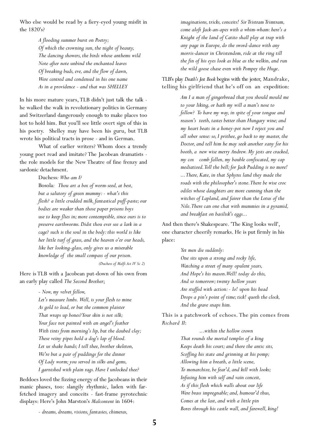Who else would be read by a fiery-eyed young misfit in the 1820's?

> A flooding summer burst on Poetry; Of which the crowning sun, the night of beauty, The dancing showers, the birds whose anthems wild Note after note unbind the enchanted leaves Of breaking buds, eve, and the flow of dawn, Were centred and condensed in his one name As in a providence - and that was SHELLEY

In his more mature years,TLB didn't just talk the talk he walked the walk in revolutionary politics in Germany and Switzerland dangerously enough to make places too hot to hold him. But you'll see little overt sign of this in his poetry. Shelley may have been his guru, but TLB wrote his political tracts in prose - and in German.

What of earlier writers? Whom does a trendy young poet read and imitate? The Jacobean dramatists the role models for the New Theatre of fine frenzy and sardonic detachment.

> Duchess: Who am I? Bosola: Thou art a box of worm-seed, at best, but a salutory of green mummy:- what's this flesh? a little crudded milk, fantastical puff-paste; our bodies are weaker than those paper prisons boys use to keep flies in; more contemptible, since ours is to preserve earthworms. Didst thou ever see a lark in a cage? such is the soul in the body: this world is like her little turf of grass, and the heaven o'er our heads, like her looking-glass, only gives us a miserable knowledge of the small compass of our prison. (Duchess of Malfi Act IV Sc 2)

Here is TLB with a Jacobean put-down of his own from an early play called The Second Brother;

- Now, my velvet fellow,

Let's measure limbs. Well, is your flesh to mine As gold to lead, or but the common plaister That wraps up bones? Your skin is not silk; Your face not painted with an angel's feather With tints from morning's lip, but the daubed clay; These veiny pipes hold a dog's lap of blood. Let us shake hands; I tell thee, brother skeleton, We're but a pair of puddings for the dinner Of Lady worm; you served in silks and gems, I garnished with plain rags.Have I unlocked thee?

Beddoes loved the fizzing energy of the Jacobeans in their manic phases, too: slangily rhythmic, laden with farfetched imagery and conceits - fast-frame pyrotechnic displays: Here's John Marston's Malcontent in 1604:

imaginations, tricks, conceits! Sir Tristram Trimtram, come aloft Jack-an-apes with a whim-wham: here's a Knight of the land of Catito shall play at trap with any page in Europe, do the sword-dance with any morris-dancer in Christendom, ride at the ring till the fin of his eyes look as blue as the welkin, and run the wild goose chase even with Pompey the Huge.

TLB's play *Death's Jest Book* begins with the jester, Mandrake, telling his girlfriend that he's off on an expedition:

> Am I a man of gingerbread that you should mould me to your liking, or hath my will a man's nose to follow? To have my way, in spite of your tongue and reason's teeth, tastes better than Hungary wine; and my heart beats in a honey-pot now I reject you and all sober sense: so, I prithee,go back to my master, the Doctor, and tell him he may seek another zany for his booth, a new wise merry Andrew. My jests are cracked, my cox comb fallen, my bauble confiscated, my cap mediatized.Toll the bell; for Jack Pudding is no more! ...There, Kate, in that Sphynx land they made the roads with the philosopher's stone.There be wise croc odiles whose daughters are more cunning than the witches of Lapland, and fairer than the Lotus of the Nile.There can one chat with mummies in a pyramid, and breakfast on basilisk's eggs...

And then there's Shakespeare. 'The King looks well', one character cheerily remarks. He is put firmly in his place:

> Yet men die suddenly: One sits upon a strong and rocky life, Watching a street of many opulent years, And Hope's his mason.Well! today do this, And so tomorrow; twenty hollow years Are stuffed with action:- lo! upon his head Drops a pin's point of time; tick! quoth the clock, And the grave snaps him.

This is a patchwork of echoes. The pin comes from Richard II:

> ...within the hollow crown That rounds the mortal temples of a king Keeps death his court; and there the antic sits, Scoffing his state and grinning at his pomp; Allowing him a breath, a little scene, To monarchize, be fear'd, and kill with looks; Infusing him with self and vain conceit, As if this flesh which walls about our life Were brass impregnable; and, humour'd thus, Comes at the last, and with a little pin Bores through his castle wall, and farewell, king!

- dreams, dreams, visions, fantasies, chimeras,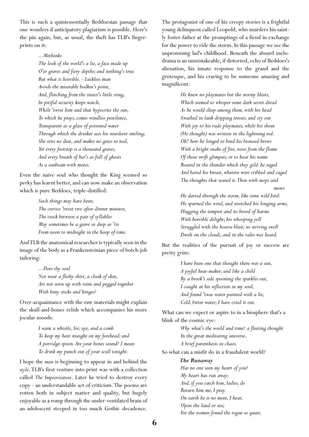This is such a quintessentially Beddoesian passage that one wonders if anticipatory plagiarism is possible. Here's the pin again, but, as usual, the theft has TLB's fingerprints on it:

#### ...Methinks

The look of the world's a lie, a face made up O'er graves and fiery depths; and nothing's true But what is horrible.- Luckless man Avoids the miserable bodkin's point, And, flinching from the insect's little sting, In pitiful security keeps watch, While 'twixt him and that hypocrite the sun, To which he prays, comes windless pestilence, Transparent as a glass of poisoned water Through which the drinker sees his murderer smiling; She stirs no dust, and makes no grass to nod, Yet every footstep is a thousand graves, And every breath of her's as full of ghosts As a sunbeam with motes.

Even the naive soul who thought the King seemed so perky has learnt better, and can now make an observation which is pure Beddoes, triple-distilled:

> Such things may have been; The crevice 'twixt two after-dinner minutes, The crack between a pair of syllables May sometimes be a grave as deep as 'tis From noon to midnight in the hoop of time.

And TLB the anatomical researcher is typically seen in the image of the body as a Frankensteinian piece of botch-job tailoring:

> ...Does thy soul Not wear a fleshy shirt, a cloak of skin, Art not sewn up with veins and pegged together With bony sticks and hinges?

Over-acquaintance with the raw materials might explain the skull-and-bones relish which accompanies his more jocular moods:

> I want a whistle, Sir; aye, and a comb To keep my hair straight on my forehead; and A porridge-spoon.Are your bones sound? I mean To drink my punch out of your scull tonight.

I hope the man is beginning to appear in and behind the style.TLB's first venture into print was with a collection called The Improvisatore. Later he tried to destroy every copy - an understandable act of criticism.The poems are rotten both in subject matter and quality, but hugely enjoyable as a romp through the under-ventilated brain of an adolescent steeped in too much Gothic decadence.

The protagonist of one of his creepy stories is a frightful young delinquent called Leopold, who murders his saintly foster-father at the promptings of a fiend in exchange for the power to ride the storm. In this passage we see the unpromising lad's childhood. Beneath the absurd melodrama is an unmistakeable, if distorted, echo of Beddoes's alienation, his innate response to the grand and the grotesque, and his craving to be someone amazing and magnificent:

> He knew no playmates but the stormy blasts, Which seemed to whisper some dark secret dread As he would sleep among them, with his head Swathed in lank dripping tresses, and cry out With joy to his rude playmates, while his shout (He thought) was written in the lightning red. Oh! how he longed to bind his bronzed brows With a bright snake of fire, wove from the flame Of those swift glimpses;or to hear his name Roared in the thunder which they gild: he raged And bared his breast, wherein were cribbed and caged The thoughts that seared it.Then with mops and mows

> He darted through the storm, like some wild bird: He spurned the wind, and stretched his longing arms, Hugging the tempest and its brood of harms With horrible delight; his whooping yell Struggled with the hoarse blast; its striving swell Dwelt on the clouds, and in the vales was heard.

But the realities of the pursuit of joy or success are pretty grim:

> I have been one that thought there was a sun, A joyful heat-maker; and like a child By a brook's side spooning the sparkles out, I caught at his reflection in my soul, And found 'twas water painted with a lie, Cold, bitter water; I have cried it out.

What can we expect or aspire to in a biosphere that's a blink of the cosmic eye:

> Why what's the world and time? a fleeting thought In the great meditating universe, A brief parenthesis in chaos.

So what can a misfit do in a fraudulent world?

#### The Runaway

Has no one seen my heart of you? My heart has run away; And, if you catch him, ladies, do Return him me, I pray. On earth he is no more, I hear, Upon the land or sea; For the women found the rogue so queer,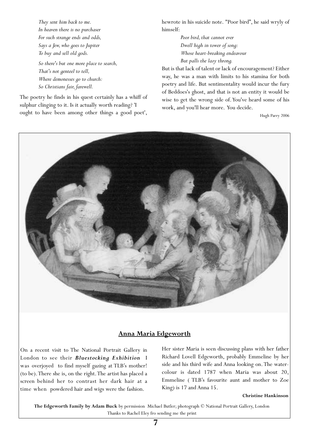They sent him back to me. In heaven there is no purchaser For such strange ends and odds, Says a Jew, who goes to Jupiter To buy and sell old gods.

So there's but one more place to search, That's not genteel to tell, Where demonesses go to church: So Christians fair, farewell.

The poetry he finds in his quest certainly has a whiff of sulphur clinging to it. Is it actually worth reading? 'I ought to have been among other things a good poet',

hewrote in his suicide note. "Poor bird", he said wryly of himself:

> Poor bird, that cannot ever Dwell high in tower of song: Whose heart-breaking endeavour But palls the lazy throng.

But is that lack of talent or lack of encouragement? Either way, he was a man with limits to his stamina for both poetry and life. But sentimentality would incur the fury of Beddoes's ghost, and that is not an entity it would be wise to get the wrong side of.You've heard some of his work, and you'll hear more. You decide.

Hugh Parry 2006



#### Anna Maria Edgeworth

On a recent visit to The National Portrait Gallery in London to see their **Bluestocking Exhibition** I was overjoyed to find myself gazing at TLB's mother! (to be).There she is, on the right.The artist has placed a screen behind her to contrast her dark hair at a time when powdered hair and wigs were the fashion.

Her sister Maria is seen discussing plans with her father Richard Lovell Edgeworth, probably Emmeline by her side and his third wife and Anna looking on.The watercolour is dated 1787 when Maria was about 20, Emmeline ( TLB's favourite aunt and mother to Zoe King) is 17 and Anna 15.

Christine Hankinson

The Edgeworth Family by Adam Buck by permission Michael Butler; photograph © National Portrait Gallery, London Thanks to Rachel Eley fro sending me the print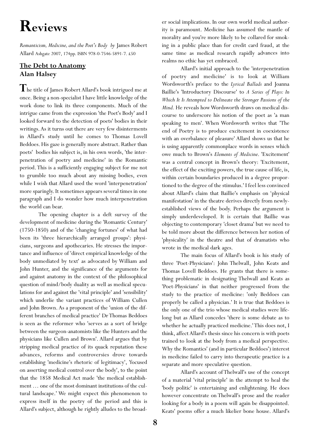# Reviews

Romanticism, Medicine, and the Poet's Body by James Robert Allard Ashgate 2007, 174pp. ISBN 978-0-7546-5891-7. £50

#### The Debt to Anatomy Alan Halsey

The title of James Robert Allard's book intrigued me at once. Being a non-specialist I have little knowledge of the work done to link its three components. Much of the intrigue came from the expression 'the Poet's Body' and I looked forward to the detection of poets' bodies in their writings.As it turns out there are very few disinterments in Allard's study until he comes to Thomas Lovell Beddoes. His gaze is generally more abstract. Rather than poets' bodies his subject is, in his own words, 'the interpenetration of poetry and medicine' in the Romantic period.This is a sufficiently engaging subject for me not to grumble too much about any missing bodies, even while I wish that Allard used the word 'interpenetration' more sparingly. It sometimes appears several times in one paragraph and I do wonder how much interpenetration the world can bear.

The opening chapter is a deft survey of the development of medicine during the 'Romantic Century' (1750-1850) and of the 'changing fortunes' of what had been its 'three hierarchically arranged groups': physicians, surgeons and apothecaries. He stresses the importance and influence of 'direct empirical knowledge of the body unmediated by text' as advocated by William and John Hunter, and the significance of the arguments for and against anatomy in the context of the philosophical question of mind/body duality as well as medical speculations for and against the 'vital principle' and 'sensibility' which underlie the variant practices of William Cullen and John Brown.As a proponent of the 'union of the different branches of medical practice' Dr Thomas Beddoes is seen as the reformer who 'serves as a sort of bridge between the surgeon-anatomists like the Hunters and the physicians like Cullen and Brown'. Allard argues that by stripping medical practice of its quack reputation these advances, reforms and controversies drove towards establishing 'medicine's rhetoric of legitimacy', 'focused on asserting medical control over the body', to the point that the 1858 Medical Act made 'the medical establishment … one of the most dominant institutions of the cultural landscape.' We might expect this phenomenon to express itself in the poetry of the period and this is Allard's subject, although he rightly alludes to the broader social implications. In our own world medical authority is paramount. Medicine has assumed the mantle of morality and you're more likely to be collared for smoking in a public place than for credit card fraud, at the same time as medical research rapidly advances into realms no ethic has yet embraced.

Allard's initial approach to the 'interpenetration of poetry and medicine' is to look at William Wordsworth's preface to the Lyrical Ballads and Joanna Baillie's 'Introductory Discourse' to A Series of Plays: In Which It Is Attempted to Delineate the Stronger Passions of the Mind. He reveals how Wordsworth draws on medical discourse to underscore his notion of the poet as 'a man speaking to men'. When Wordsworth writes that 'The end of Poetry is to produce excitement in coexistence with an overbalance of pleasure' Allard shows us that he is using apparently commonplace words in senses which owe much to Brown's Elements of Medicine. 'Excitement' was a central concept in Brown's theory: 'Excitement, the effect of the exciting powers, the true cause of life, is, within certain boundaries produced in a degree proportioned to the degree of the stimulus.' I feel less convinced about Allard's claim that Baillie's emphasis on 'physical manifestation' in the theatre derives directly from newlyestablished views of the body. Perhaps the argument is simply underdeveloped. It is certain that Baillie was objecting to contemporary 'closet drama' but we need to be told more about the difference between her notion of 'physicality' in the theatre and that of dramatists who wrote in the medical dark ages.

The main focus of Allard's book is his study of three 'Poet-Physicians': John Thelwall, John Keats and Thomas Lovell Beddoes. He grants that there is something problematic in designating Thelwall and Keats as 'Poet-Physicians' in that neither progressed from the study to the practice of medicine: 'only Beddoes can properly be called a physician.' It is true that Beddoes is the only one of the trio whose medical studies were lifelong but as Allard concedes 'there is some debate as to whether he actually practiced medicine.' This does not, I think, affect Allard's thesis since his concern is with poets trained to look at the body from a medical perspective. Why the Romantics' (and in particular Beddoes') interest in medicine failed to carry into therapeutic practice is a separate and more speculative question.

Allard's account of Thelwall's use of the concept of a material 'vital principle' in the attempt to heal the 'body politic' is entertaining and enlightening. He does however concentrate on Thelwall's prose and the reader looking for a body in a poem will again be disappointed. Keats' poems offer a much likelier bone house. Allard's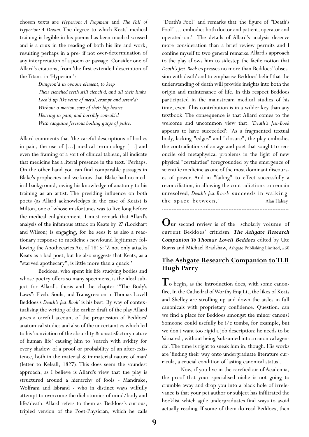chosen texts are Hyperion: A Fragment and The Fall of Hyperion: A Dream. The degree to which Keats' medical training is legible in his poems has been much discussed and is a crux in the reading of both his life and work, resulting perhaps in a pre- if not over-determination of any interpretation of a poem or passage. Consider one of Allard's citations, from 'the first extended description of the Titans' in 'Hyperion':

> Dungeon'd in opaque element, to keep Their clenched teeth still clench'd, and all their limbs Lock'd up like veins of metal, crampt and screw'd; Without a motion, save of their big hearts Heaving in pain, and horribly convuls'd With sanguine feverous boiling gurge of pulse.

Allard comments that 'the careful descriptions of bodies in pain, the use of […] medical terminology […] and even the framing of a sort of clinical tableau, all indicate that medicine has a literal presence in the text.' Perhaps. On the other hand you can find comparable passages in Blake's prophecies and we know that Blake had no medical background, owing his knowledge of anatomy to his training as an artist. The presiding influence on both poets (as Allard acknowledges in the case of Keats) is Milton, one of whose misfortunes was to live long before the medical enlightenment. I must remark that Allard's analysis of the infamous attack on Keats by 'Z' (Lockhart and Wilson) is engaging, for he sees it as also a reactionary response to medicine's newfound legitimacy following the Apothecaries Act of 1815: 'Z not only attacks Keats as a bad poet, but he also suggests that Keats, as a "starved apothecary", is little more than a quack.'

Beddoes, who spent his life studying bodies and whose poetry offers so many specimens, is the ideal subject for Allard's thesis and the chapter '"The Body's Laws": Flesh, Souls, and Transgression in Thomas Lovell Beddoes's Death's Jest-Book' is his best. By way of contextualising the writing of the earlier draft of the play Allard gives a careful account of the progression of Beddoes' anatomical studies and also of the uncertainties which led to his 'conviction of the absurdity & unsatisfactory nature of human life' causing him to 'search with avidity for every shadow of a proof or probability of an after-existence, both in the material & immaterial nature of man' (letter to Kelsall, 1827). This does seem the soundest approach, as I believe is Allard's view that the play is structured around a hierarchy of fools - Mandrake, Wolfram and Isbrand - who in distinct ways wilfully attempt to overcome the dichotomies of mind/body and life/death. Allard refers to them as 'Beddoes's curious, tripled version of the Poet-Physician, which he calls

"Death's Fool" and remarks that 'the figure of "Death's Fool" … embodies both doctor and patient, operator and operated-on.' The details of Allard's analysis deserve more consideration than a brief review permits and I confine myself to two general remarks.Allard's approach to the play allows him to sidestep the facile notion that Death's Jest-Book expresses no more than Beddoes' 'obsession with death' and to emphasise Beddoes' belief that the understanding of death will provide insights into both the origin and maintenance of life. In this respect Beddoes participated in the mainstream medical studies of his time, even if his contribution is in a wilder key than any textbook. The consequence is that Allard comes to the welcome and uncommon view that: 'Death's Jest-Book appears to have succeeded': 'As a fragmented textual body, lacking "edges" and "closure", the play embodies the contradictions of an age and poet that sought to reconcile old metaphysical problems in the light of new physical "certainties" foregrounded by the emergence of scientific medicine as one of the most dominant discourses of power. And in "failing" to effect successfully a reconciliation, in allowing the contradictions to remain unresolved, Death's Jest-Book succeeds in walking the space between.' Alan Halsey

Our second review is of the scholarly volume of current Beddoes' criticism: The Ashgate Research Companion To Thomas Lovell Beddoes edited by Ute Burns and Michael Bradshaw, Ashgate Publishing Limited, £60

------------------------------------------------------------------------------

#### The Ashgate Research Companion to TLB Hugh Parry

 $\blacksquare$  o begin, as the Introduction does, with some canonfire. In the Cathedral of Worthy Eng Lit, the likes of Keats and Shelley are strolling up and down the aisles in full canonicals with proprietary confidence. Question: can we find a place for Beddoes amongst the minor canons? Someone could usefully be i/c tombs, for example, but we don't want too rigid a job description: he needs to be 'situated', without being 'subsumed into a canonical agenda'.The time is right to sneak him in, though. His works are 'finding their way onto undergraduate literature curricula, a crucial condition of lasting canonical status'.

Now, if you live in the rarefied air of Academia, the proof that your specialised niche is not going to crumble away and drop you into a black hole of irrelevance is that your pet author or subject has infiltrated the booklist which agile undergraduates find ways to avoid actually reading. If some of them do read Beddoes, then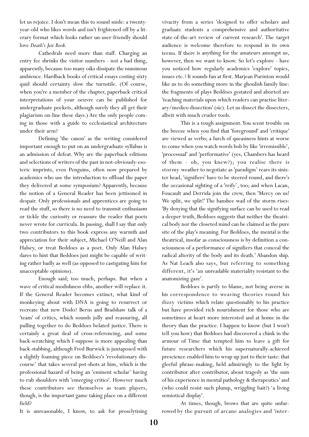let us rejoice. I don't mean this to sound snide: a twentyyear-old who likes words and isn't frightened off by a literary format which looks rather un-user-friendly should love Death's Jest Book.

Cathedrals need more than staff. Charging an entry fee shrinks the visitor numbers - not a bad thing, apparently, because too many oiks dissipate the numinous ambience. Hardback books of critical essays costing sixty quid should certainty slow the turnstile. (Of course, when you're a member of the chapter, paperback critical interpretations of your oeuvre can be published for undergraduate pockets, although surely they all get their plagiarism on-line these days.) Are the only people coming in those with a guide to ecclesiastical architecture under their arm?

Defining 'the canon' as the writing considered important enough to put on an undergraduate syllabus is an admission of defeat. Why are the paperback editions and selections of writers of the past in not-obviously-esoteric imprints, even Penguins, often now prepared by academics who use the introduction to offload the paper they delivered at some symposium? Apparently, because the notion of a General Reader has been jettisoned in despair. Only professionals and apprentices are going to read the stuff, so there is no need to transmit enthusiasm or tickle the curiosity or reassure the reader that poets never wrote for curricula. In passing, shall I say that only two contributors to this book express any warmth and appreciation for their subject, Michael O'Neill and Alan Halsey, or treat Beddoes as a poet. Only Alan Halsey dares to hint that Beddoes just might be capable of writing rather badly as well (as opposed to castigating him for unacceptable opinions).

Enough said; too much, perhaps. But when a wave of critical modishness ebbs, another will replace it. If the General Reader becomes extinct, what kind of monkeying about with DNA is going to resurrect or recreate that new Dodo? Berns and Bradshaw talk of a 'team' of critics, which sounds jolly and reassuring, all pulling together to do Beddoes belated justice. There is certainly a great deal of cross-referencing, and some back-scratching which I suppose is more appealing than back-stabbing, although Fred Burwick is juxtaposed with a slightly foaming piece on Beddoes's 'revolutionary discourse' that takes several pot-shots at him, which is the professional hazard of being an 'eminent scholar' having to rub shoulders with 'emerging critics'. However much these contributors see themselves as team players, though, is the important game taking place on a different field?

It is unreasonable, I know, to ask for proselytising

vivacity from a series 'designed to offer scholars and graduate students a comprehensive and authoritative state-of-the-art review of current research'. The target audience is welcome therefore to respond in its own terms. If there is anything for the amateurs amongst us, however, then we want to know. So let's explore - have you noticed how regularly academics 'explore' topics, issues etc.? It sounds fun at first. Marjean Purinton would like us to do something more in the ghoulish family line: the fragments of plays Beddoes gestated and aborted are 'teaching materials upon which readers can practise literary/medico dissection' (sic). Let us dissect the dissecters, albeit with much cruder tools.

This is a tough assignment.You scent trouble on the breeze when you find that 'foreground' and 'critique' are viewed as verbs; a lurch of queasiness hints at worse to come when you watch words bob by like 'irremissible', 'processual' and 'performative' (yes, Chambers has heard of them - oh, you knew?); you realise there is stormy weather to negotiate as 'paradigm' rears its sinister head, 'signifiers' have to be steered round, and there's the occasional sighting of a 'reify', too; and when Lacan, Foucault and Derrida join the crew, then 'Mercy on us! We split, we split!' The banshee wail of the storm rises: 'By denying that the signifying surface can be used to read a deeper truth, Beddoes suggests that neither the theatrical body nor the closeted mind can be claimed as the pure site of the play's meaning. For Beddoes, the mental is the theatrical, insofar as consciousness is by definition a consciousness of a performance of signifiers that conceal the radical alterity of the body and its death.' Abandon ship. As Nat Leach also says, but referring to something different, it's 'an unreadable materiality resistant to the anatomizing gaze'.

Beddoes is partly to blame, not being averse in his correspondence to weaving theories round his dizzy victims which relate questionably to his practice but have provided rich nourishment for those who are sometimes at heart more interested and at home in the theory than the practice. I happen to know (but I won't tell you how) that Beddoes had discovered a chink in the armour of Time that tempted him to leave a gift for future researchers which his supernaturally-achieved prescience enabled him to wrap up just to their taste: that gleeful phrase-making, held admiringly to the light by contributor after contributor, about tragedy as 'the sum of his experience in mental pathology & therapeutics'and (who could resist such plump, wriggling bait?) 'a living semiotical display'.

At times, though, brows that are quite unfurrowed by the pursuit of arcane analogies and 'inter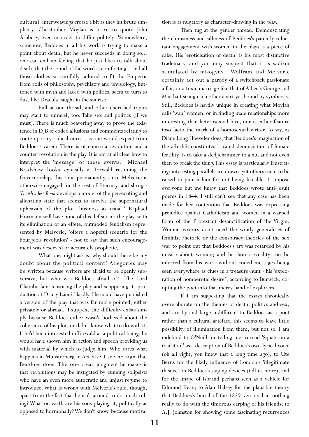cultural' interweavings crease a bit as they hit brute simplicity. Christopher Moylan is brave to quote John Ashbery, even in order to differ politely: 'Somewhere, somehow, Beddoes in all his work is trying to make a point about death, but he never succeeds in doing so... one can end up feeling that he just likes to talk about death, that the sound of the word is comforting' - and all those clothes so carefully tailored to fit the Emperor from rolls of philosophy, psychiatry and physiology, buttoned with myth and laced with politics, seem to turn to dust like Dracula caught in the sunrise.

Pull at one thread, and other cherished topics may start to unravel, too. Take sex and politics (if we must). There is much beavering away to prove the existence in DJB of coded allusions and comments relating to contemporary radical unrest, as one would expect from Beddoes's career. There is of course a revolution and a counter-revolution in the play. It is not at all clear how to interpret the 'message' of these events. Michael Bradshaw looks cynically at Torwald resuming the Governorship, this time permanently, since Melveric is otherwise engaged for the rest of Eternity, and shrugs: 'Death's Jest Book develops a model of the persecuting and alienating state that seems to survive the supernatural upheavals of the plot: business as usual.' Raphael Hörmann will have none of this defeatism: the play, with its elimination of an effete, outmoded feudalism represented by Melveric, 'offers a hopeful scenario for the bourgeois revolution' - not to say that such encouragement was deserved or accurately prophetic.

What one might ask is, why should there be any doubt about the political content? Allegories may be written because writers are afraid to be openly subversive, but who was Beddoes afraid of? The Lord Chamberlain censoring the play and scuppering its production at Drury Lane? Hardly. He could have published a version of the play that was far more pointed, either privately or abroad. I suggest the difficulty exists simply because Beddoes either wasn't bothered about the coherence of his plot, or didn't know what to do with it. If he'd been interested in Torwald as a political being, he would have shown him in action and speech providing us with material by which to judge him. Who cares what happens in Munsterberg in Act Six? I see no sign that Beddoes does. The one clear judgment he makes is that revolutions may be instigated by cunning solipsists who have an even more autocratic and unjust regime to introduce.What is wrong with Melveric's rule, though, apart from the fact that he isn't around to do much ruling? What on earth are his sons playing at, politically as opposed to hormonally? We don't know, because motivation is as nugatory as character-drawing in the play.

Then tug at the gender thread. Demonstrating the clumsiness and silliness of Beddoes's patently reluctant engagement with women in the plays is a piece of cake. His 'eroticisation of death' is his most distinctive trademark, and you may suspect that it is sadism stimulated by misogyny. Wolfram and Melveric certainly act out a parody of a switchback passionate affair, or a toxic marriage like that of Albee's George and Martha tearing each other apart yet bound by symbiosis. Still, Beddoes is hardly unique in creating what Moylan calls 'wan' women, or in finding male relationships more interesting than heterosexual love, nor is either feature ipso facto the mark of a homosexual writer. To say, as Diane Long Hoeveler does, that Beddoes's imagination of the afterlife constitutes 'a rabid denunciation of female fertility' is to take a sledgehammer to a nut and not even then to break the thing.This essay is particularly frustrating: interesting parallels are drawn, yet others seem to be raised to punish him for not being likeable. I suppose everyone but me knew that Beddoes wrote anti-Jesuit poems in 1844; I still can't see that any case has been made for her contention that Beddoes was expressing prejudice against Catholicism and women in a warped form of the Protestant desanctification of the Virgin. Women writers don't need the windy generalities of feminist rhetoric or the conspiracy theories of the sex war to point out that Beddoes's art was retarded by his unease about women; and his homosexuality can be inferred from his work without coded messages being seen everywhere as clues in a treasure-hunt - his 'exploration of homoerotic desire', according to Burwick, coopting the poet into that merry band of explorers.

If I am suggesting that the essays chronically overelaborate on the themes of death, politics and sex, and are by and large indifferent to Beddoes as a poet rather than a cultural artefact, this seems to leave little possibility of illumination from them, but not so. I am indebted to O'Neill for telling me to read 'Squats on a toadstool' as a description of Beddoes's own lyrical voice (oh all right, you knew that a long time ago); to Ute Berns for the likely influence of London's 'illegitimate theatre' on Beddoes's staging devices (tell us more), and for the image of Isbrand perhaps seen as a vehicle for Edmund Kean; to Alan Halsey for the plausible theory that Beddoes's burial of the 1829 version had nothing really to do with the timorous carping of his friends; to A.J. Johnston for showing some fascinating recurrences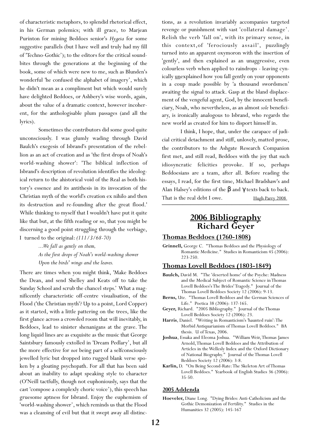of characteristic metaphors, to splendid rhetorical effect, in his German polemics; with ill grace, to Marjean Purinton for mining Beddoes senior's Hygeia for some suggestive parallels (but I have well and truly had my fill of 'Techno-Gothic'); to the editors for the critical soundbites through the generations at the beginning of the book, some of which were new to me, such as Blunden's wonderful 'he confused the alphabet of imagery', which he didn't mean as a compliment but which would surely have delighted Beddoes, or Ashbery's wise words, again, about the value of a dramatic context, however incoherent, for the anthologisable plum passages (and all the lyrics).

Sometimes the contributors did some good quite unconsciously. I was glumly wading through David Baulch's exegesis of Isbrand's presentation of the rebellion as an act of creation and as 'the first drops of Noah's world-washing shower': 'The biblical inflection of Isbrand's description of revolution identifies the ideological return to the ahistorical void of the Real as both history's essence and its antithesis in its invocation of the Christian myth of the world's creation ex nihilo and then its destruction and re-founding after the great flood.' While thinking to myself that I wouldn't have put it quite like that but, at the fifth reading or so, that you might be discerning a good point struggling through the verbiage, I turned to the original: (111/3/68-70)

> ...We fall as gently on them, As the first drops of Noah's world-washing shower Upon the birds' wings and the leaves.

There are times when you might think, 'Make Beddoes the Dean, and send Shelley and Keats off to take the Sunday School and scrub the chancel steps.' What a magnificently characteristic off-centre visualisation, of the Flood ('the Christian myth'? Up to a point, Lord Copper) as it started, with a little pattering on the trees, like the first glance across a crowded room that will inevitably, in Beddoes, lead to sinister shenanigans at the grave. The long liquid lines are as exquisite as the music that George Saintsbury famously extolled in 'Dream Pedlary', but all the more effective for not being part of a selfconsciously jewelled lyric but dropped into rugged blank verse spoken by a gloating psychopath. For all that has been said about an inability to adapt speaking style to character (O'Neill tactfully, though not euphoniously, says that the cast 'compose a complexly choric voice'), this speech has gruesome aptness for Isbrand. Enjoy the euphemism of 'world-washing shower', which reminds us that the Flood was a cleansing of evil but that it swept away all distinctions, as a revolution invariably accompanies targeted revenge or punishment with vast 'collateral damage'. Relish the verb 'fall on', with its primary sense, in this context,of 'ferociously assail', puzzlingly turned into an apparent oxymoron with the insertion of 'gently', and then explained as an unaggressive, even colourless verb when applied to raindrops - leaving cynically unexplained how you fall gently on your opponents in a coup made possible by 'a thousand swordsmen' awaiting the signal to attack. Gasp at the bland displacement of the vengeful agent, God, by the innocent beneficiary, Noah, who nevertheless, as an almost sole beneficiary, is ironically analogous to Isbrand, who regards the new world as created for him to disport himself in.

I think, I hope, that, under the carapace of judicial critical detachment and stiff, unlovely, matted prose, the contributors to the Ashgate Research Companion first met, and still read, Beddoes with the joy that such idiosyncratic felicities provoke. If so, perhaps Beddoesians are a team, after all. Before reading the essays, I read, for the first time, Michael Bradshaw's and Alan Halsey's editions of the  $\beta$  and  $\gamma$  texts back to back. That is the real debt I owe. Hugh Parry 2008  $\overline{\phantom{a}}$ 

# 2006 Bibliography Richard Geyer

#### Thomas Beddoes (1760-1808)

Grinnell, George C. "Thomas Beddoes and the Physiology of Romantic Medicine." Studies in Romanticism 45 (2006): 223-250.

#### Thomas Lovell Beddoes (1803-1849)

- Baulch, David M. "The 'deserted home' of the Psyche: Madness and the Medical Subject of Romantic Science in Thomas Lovell Beddoes's The Brides' Tragedy." Journal of the Thomas Lovell Beddoes Society 12 (2006): 9-13.
- Berns, Ute. "Thomas Lovell Beddoes and the German Sciences of Life." Poetica 38 (2006): 137-165.
- Geyer, Richard. "2005 Bibliography." Journal of the Thomas Lovell Beddoes Society 12 (2006): 23.
- Harris, Daniel. "Writing in Romanticism's 'haunted ruin':The Morbid Antiquarianism of Thomas Lovell Beddoes." BA thesis. U of Texas, 2006.
- Joshua, Essaka and Eleoma Joshua. "William Weir, Thomas James Arnold,Thomas Lovell Beddoes and the Attribution of Articles in the Wellesly Index and the Oxford Dictionary of National Biography." Journal of the Thomas Lovell Beddoes Society 12 (2006): 3-8.
- Karlin, D. "On Being Second-Rate:The Skeleton Art of Thomas Lovell Beddoes." Yearbook of English Studies 36 (2006): 35-50.

#### 2005 Addenda

Hoeveler, Diane Long. "Dying Brides:Anti-Catholicism and the Gothic Demonization of Fertility." Studies in the Humanities 32 (2005): 145-167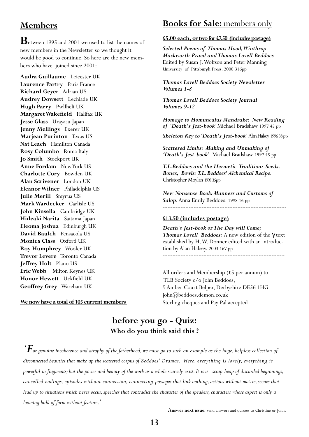# Members

 $\mathbf B$ etween 1995 and 2001 we used to list the names of new members in the Newsletter so we thought it would be good to continue. So here are the new members who have joined since 2001:

Audra Guillaume Leicester UK Laurence Partry Paris France Richard Geyer Adrian US Audrey Dowsett Lechlade UK Hugh Parry Pwllheli UK Margaret Wakefield Halifax UK Jesse Glass Urayasu Japan Jenny Mellings Exerer UK Marjean Purinton Texas US Nat Leach Hamilton Canada Rosy Columbo Roma Italy Jo Smith Stockport UK Anne Fordam New York US Charlotte Cory Bowden UK Alan Scrivener London UK Eleanor Wilner Philadelphia US Julie Merill Smyrua US Mark Wardecker Carlisle US John Kinsella Cambridge UK Hideaki Narita Saitama Japan Eleoma Joshua Edinburgh UK David Baulch Pensacola US Monica Class Oxford UK Roy Humphrey Wooler UK Trevor Levere Toronto Canada Jeffrey Holt Plano US Eric Webb Milton Keynes UK Honor Hewett Uckfield UK Geoffrey Grey Wareham UK

# Books for Sale: members only

#### £5.00 each, or two for £7.50 (includes postage)

Selected Poems of Thomas Hood,Winthrop Mackworth Praed and Thomas Lovell Beddoes Edited by Susan J.Wolfson and Peter Manning. University of Pittsburgh Press. 2000 316pp

Thomas Lovell Beddoes Society Newsletter Volumes 1-8

Thomas Lovell Beddoes Society Journal Volumes 9-12

Homage to Homunculus Mandrake: New Reading of 'Death's Jest-book' Michael Bradshaw 1997 45 pp

Skeleton Key to 'Death's Jest-book' Alan Halsey 1996 38 pp

Scattered Limbs: Making and Unmaking of 'Death's Jest-book' Michael Bradshaw 1997 45 pp

T.L.Beddoes and the Hermetic Tradition: Seeds, Bones, Bowls: T.L.Beddoes' Alchemical Recipe. Christopher Moylan 1998 36pp

New Nonsense Book:Manners and Customs of Salop. Anna Emily Beddoes. 1998 16 pp ----------------------------------------------------------------------------

#### £13.50 (includes postage)

Death's Jest-book or The Day will Come; Thomas Lovell Beddoes: A new edition of the γ text established by H.W. Donner edited with an introduction by Alan Halsey. 2003 167 pp ---------------------------------------------------------------------------

All orders and Membership (£5 per annum) to TLB Society c/o John Beddoes, 9 Amber Court Belper, Derbyshire DE56 1HG john@beddoes.demon.co.uk Sterling cheques and Pay Pal accepted

We now have a total of 105 current members

## before you go - Quiz: Who do you think said this ?

 $\cdot\bm{F}$ or genuine incoherence and atrophy of the fatherhood, we must go to such an example as the huge, helpless collection of disconnected beauties that make up the scattered corpus of Beddoes' Dramas. Here, everything is lovely, everything is powerful in fragments; but the power and beauty of the work as a whole scarcely exist. It is a scrap-heap of discarded beginnings, cancelled endings, episodes without connection, connecting passages that link nothing, actions without motive, scenes that lead up to situations which never occur, speeches that contradict the character of the speakers, characters whose aspect is only a looming bulk of form without feature.'

Answer next issue. Send answers and quizzes to Christine or John.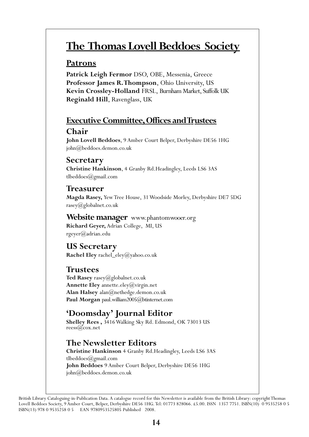# The Thomas Lovell Beddoes Society

# Patrons

Patrick Leigh Fermor DSO, OBE, Messenia, Greece Professor James R.Thompson, Ohio University, US Kevin Crossley-Holland FRSL, Burnham Market, Suffolk UK Reginald Hill, Ravenglass, UK

# Executive Committee,Offices and Trustees

## Chair

John Lovell Beddoes, 9 Amber Court Belper, Derbyshire DE56 1HG john@beddoes.demon.co.uk

## **Secretary**

Christine Hankinson, 4 Granby Rd.Headingley, Leeds LS6 3AS tlbeddoes@gmail.com

# Treasurer

Magda Rasey, Yew Tree House, 31 Woodside Morley, Derbyshire DE7 5DG rasey@globalnet.co.uk

# Website manager www.phantomwooer.org

Richard Geyer, Adrian College, MI, US rgeyer@adrian.edu

# US Secretary

Rachel Eley rachel\_eley@yahoo.co.uk

## Trustees

Ted Rasey rasey@globalnet.co.uk **Annette Eley** annette.eley $(\alpha)$ virgin.net Alan Halsey alan@nethedge.demon.co.uk Paul Morgan paul.william2005@btinternet.com

# 'Doomsday' Journal Editor

Shelley Rees , 3416 Walking Sky Rd. Edmond, OK 73013 US  $reess(\vec{a})$ cox.net

# The Newsletter Editors

Christine Hankinson 4 Granby Rd.Headingley, Leeds LS6 3AS tlbeddoes@gmail.com John Beddoes 9 Amber Court Belper, Derbyshire DE56 1HG john@beddoes.demon.co.uk

British Library Cataloguing-in-Publication Data.A catalogue record for this Newsletter is available from the British Library: copyright Thomas Lovell Beddoes Society, 9 Amber Court, Belper, Derbyshire DE56 1HG.Tel: 01773 828066. £5.00. ISSN 1357 7751. ISBN(10) 0 9535258 0 5 ISBN(13) 978 0 9535258 0 5 EAN 9780953525805 Published 2008.